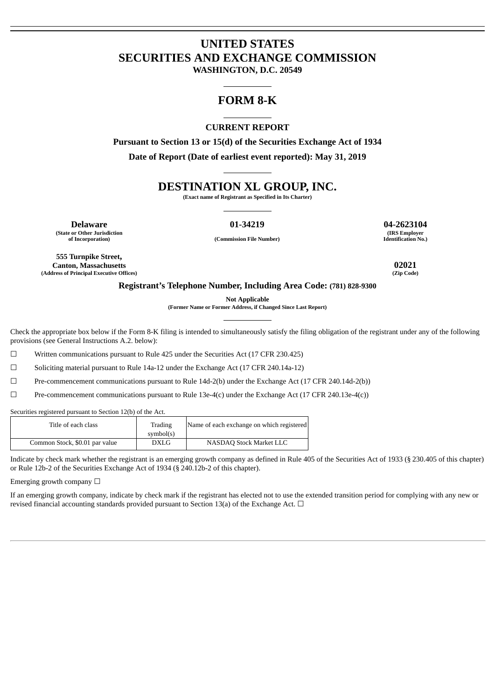# **UNITED STATES SECURITIES AND EXCHANGE COMMISSION**

**WASHINGTON, D.C. 20549**

# **FORM 8-K**

# **CURRENT REPORT**

**Pursuant to Section 13 or 15(d) of the Securities Exchange Act of 1934 Date of Report (Date of earliest event reported): May 31, 2019**

# **DESTINATION XL GROUP, INC.**

**(Exact name of Registrant as Specified in Its Charter)**

**(State or Other Jurisdiction**

**Delaware 01-34219 04-2623104 (IRS Employer**

**of Incorporation) (Commission File Number)**

**Identification No.)**

**555 Turnpike Street, Canton, Massachusetts 02021 (Address of Principal Executive Offices)** 

## **Registrant's Telephone Number, Including Area Code: (781) 828-9300**

**Not Applicable**

**(Former Name or Former Address, if Changed Since Last Report)**

Check the appropriate box below if the Form 8-K filing is intended to simultaneously satisfy the filing obligation of the registrant under any of the following provisions (see General Instructions A.2. below):

☐ Written communications pursuant to Rule 425 under the Securities Act (17 CFR 230.425)

☐ Soliciting material pursuant to Rule 14a-12 under the Exchange Act (17 CFR 240.14a-12)

☐ Pre-commencement communications pursuant to Rule 14d-2(b) under the Exchange Act (17 CFR 240.14d-2(b))

☐ Pre-commencement communications pursuant to Rule 13e-4(c) under the Exchange Act (17 CFR 240.13e-4(c))

Securities registered pursuant to Section 12(b) of the Act.

| Title of each class            | Trading<br>symbol(s) | Name of each exchange on which registered |
|--------------------------------|----------------------|-------------------------------------------|
| Common Stock, \$0.01 par value | DXLG                 | NASDAO Stock Market LLC                   |

Indicate by check mark whether the registrant is an emerging growth company as defined in Rule 405 of the Securities Act of 1933 (§ 230.405 of this chapter) or Rule 12b-2 of the Securities Exchange Act of 1934 (§ 240.12b-2 of this chapter).

Emerging growth company  $\Box$ 

If an emerging growth company, indicate by check mark if the registrant has elected not to use the extended transition period for complying with any new or revised financial accounting standards provided pursuant to Section 13(a) of the Exchange Act.  $\Box$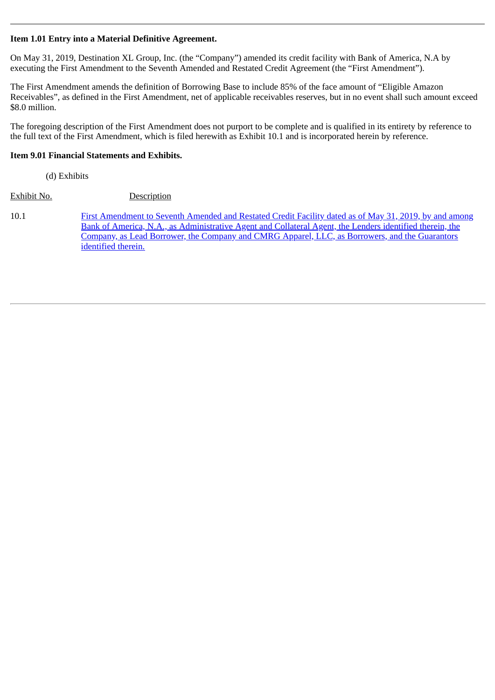# **Item 1.01 Entry into a Material Definitive Agreement.**

On May 31, 2019, Destination XL Group, Inc. (the "Company") amended its credit facility with Bank of America, N.A by executing the First Amendment to the Seventh Amended and Restated Credit Agreement (the "First Amendment").

The First Amendment amends the definition of Borrowing Base to include 85% of the face amount of "Eligible Amazon Receivables", as defined in the First Amendment, net of applicable receivables reserves, but in no event shall such amount exceed \$8.0 million.

The foregoing description of the First Amendment does not purport to be complete and is qualified in its entirety by reference to the full text of the First Amendment, which is filed herewith as Exhibit 10.1 and is incorporated herein by reference.

# **Item 9.01 Financial Statements and Exhibits.**

(d) Exhibits

Exhibit No. Description

10.1 [First Amendment to Seventh Amended and Restated Credit Facility dated as of May 31, 2019, by and among](#page-3-0) Bank of America, N.A., as Administrative Agent and Collateral Agent, the Lenders identified therein, the Company, as Lead Borrower, the Company and CMRG Apparel, LLC, as Borrowers, and the Guarantors identified therein.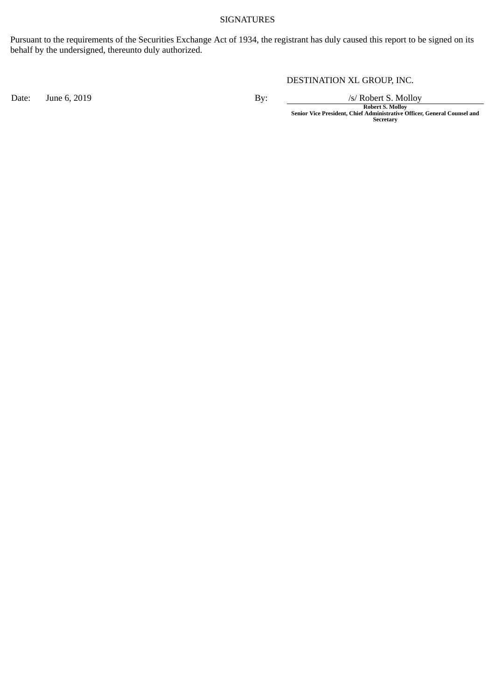# SIGNATURES

Pursuant to the requirements of the Securities Exchange Act of 1934, the registrant has duly caused this report to be signed on its behalf by the undersigned, thereunto duly authorized.

DESTINATION XL GROUP, INC.

Date: June 6, 2019 By: By: /s/ Robert S. Molloy

**Robert S. Molloy Senior Vice President, Chief Administrative Officer, General Counsel and Secretary**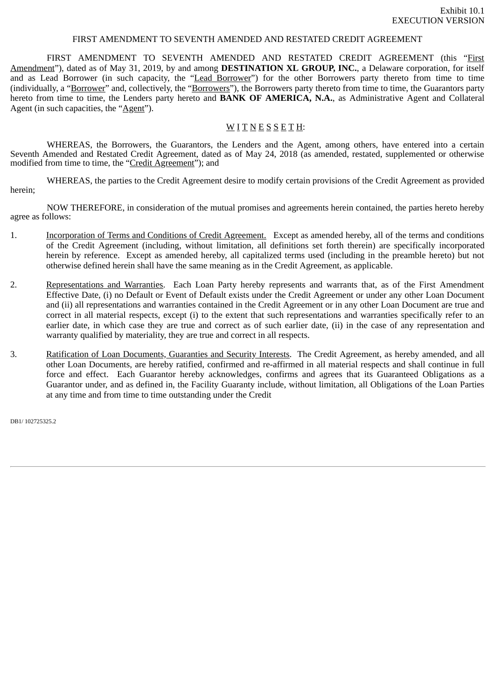### FIRST AMENDMENT TO SEVENTH AMENDED AND RESTATED CREDIT AGREEMENT

<span id="page-3-0"></span>FIRST AMENDMENT TO SEVENTH AMENDED AND RESTATED CREDIT AGREEMENT (this "First Amendment"), dated as of May 31, 2019, by and among **DESTINATION XL GROUP, INC.**, a Delaware corporation, for itself and as Lead Borrower (in such capacity, the "Lead Borrower") for the other Borrowers party thereto from time to time (individually, a "Borrower" and, collectively, the "Borrowers"), the Borrowers party thereto from time to time, the Guarantors party hereto from time to time, the Lenders party hereto and **BANK OF AMERICA, N.A.**, as Administrative Agent and Collateral Agent (in such capacities, the "Agent").

# WITNESSETH:

WHEREAS, the Borrowers, the Guarantors, the Lenders and the Agent, among others, have entered into a certain Seventh Amended and Restated Credit Agreement, dated as of May 24, 2018 (as amended, restated, supplemented or otherwise modified from time to time, the "Credit Agreement"); and

WHEREAS, the parties to the Credit Agreement desire to modify certain provisions of the Credit Agreement as provided herein;

NOW THEREFORE, in consideration of the mutual promises and agreements herein contained, the parties hereto hereby agree as follows:

- 1. Incorporation of Terms and Conditions of Credit Agreement. Except as amended hereby, all of the terms and conditions of the Credit Agreement (including, without limitation, all definitions set forth therein) are specifically incorporated herein by reference. Except as amended hereby, all capitalized terms used (including in the preamble hereto) but not otherwise defined herein shall have the same meaning as in the Credit Agreement, as applicable.
- 2. Representations and Warranties. Each Loan Party hereby represents and warrants that, as of the First Amendment Effective Date, (i) no Default or Event of Default exists under the Credit Agreement or under any other Loan Document and (ii) all representations and warranties contained in the Credit Agreement or in any other Loan Document are true and correct in all material respects, except (i) to the extent that such representations and warranties specifically refer to an earlier date, in which case they are true and correct as of such earlier date, (ii) in the case of any representation and warranty qualified by materiality, they are true and correct in all respects.
- 3. Ratification of Loan Documents, Guaranties and Security Interests. The Credit Agreement, as hereby amended, and all other Loan Documents, are hereby ratified, confirmed and re-affirmed in all material respects and shall continue in full force and effect. Each Guarantor hereby acknowledges, confirms and agrees that its Guaranteed Obligations as a Guarantor under, and as defined in, the Facility Guaranty include, without limitation, all Obligations of the Loan Parties at any time and from time to time outstanding under the Credit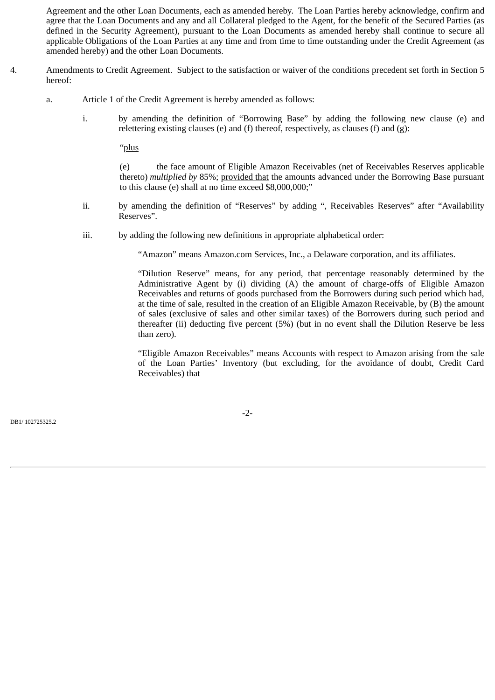Agreement and the other Loan Documents, each as amended hereby. The Loan Parties hereby acknowledge, confirm and agree that the Loan Documents and any and all Collateral pledged to the Agent, for the benefit of the Secured Parties (as defined in the Security Agreement), pursuant to the Loan Documents as amended hereby shall continue to secure all applicable Obligations of the Loan Parties at any time and from time to time outstanding under the Credit Agreement (as amended hereby) and the other Loan Documents.

- 4. Amendments to Credit Agreement. Subject to the satisfaction or waiver of the conditions precedent set forth in Section 5 hereof:
	- a. Article 1 of the Credit Agreement is hereby amended as follows:
		- i. by amending the definition of "Borrowing Base" by adding the following new clause (e) and relettering existing clauses (e) and (f) thereof, respectively, as clauses (f) and (g):

"plus

(e) the face amount of Eligible Amazon Receivables (net of Receivables Reserves applicable thereto) *multiplied by* 85%; provided that the amounts advanced under the Borrowing Base pursuant to this clause (e) shall at no time exceed \$8,000,000;"

- ii. by amending the definition of "Reserves" by adding ", Receivables Reserves" after "Availability Reserves".
- iii. by adding the following new definitions in appropriate alphabetical order:

"Amazon" means Amazon.com Services, Inc., a Delaware corporation, and its affiliates.

"Dilution Reserve" means, for any period, that percentage reasonably determined by the Administrative Agent by (i) dividing (A) the amount of charge-offs of Eligible Amazon Receivables and returns of goods purchased from the Borrowers during such period which had, at the time of sale, resulted in the creation of an Eligible Amazon Receivable, by (B) the amount of sales (exclusive of sales and other similar taxes) of the Borrowers during such period and thereafter (ii) deducting five percent (5%) (but in no event shall the Dilution Reserve be less than zero).

"Eligible Amazon Receivables" means Accounts with respect to Amazon arising from the sale of the Loan Parties' Inventory (but excluding, for the avoidance of doubt, Credit Card Receivables) that

-2-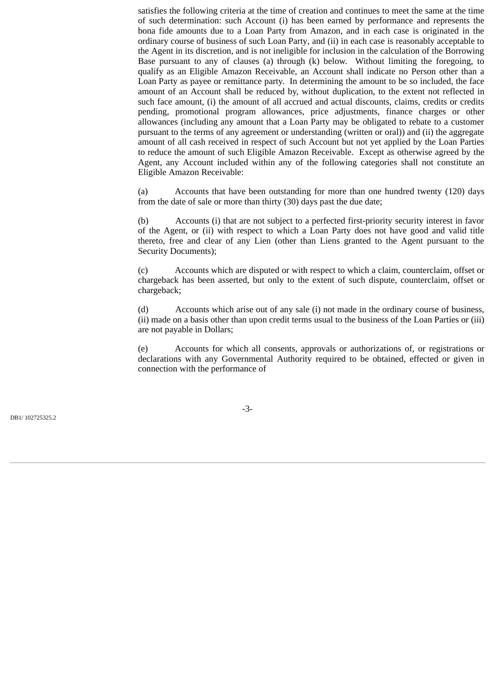satisfies the following criteria at the time of creation and continues to meet the same at the time of such determination: such Account (i) has been earned by performance and represents the bona fide amounts due to a Loan Party from Amazon, and in each case is originated in the ordinary course of business of such Loan Party, and (ii) in each case is reasonably acceptable to the Agent in its discretion, and is not ineligible for inclusion in the calculation of the Borrowing Base pursuant to any of clauses (a) through (k) below. Without limiting the foregoing, to qualify as an Eligible Amazon Receivable, an Account shall indicate no Person other than a Loan Party as payee or remittance party. In determining the amount to be so included, the face amount of an Account shall be reduced by, without duplication, to the extent not reflected in such face amount, (i) the amount of all accrued and actual discounts, claims, credits or credits pending, promotional program allowances, price adjustments, finance charges or other allowances (including any amount that a Loan Party may be obligated to rebate to a customer pursuant to the terms of any agreement or understanding (written or oral)) and (ii) the aggregate amount of all cash received in respect of such Account but not yet applied by the Loan Parties to reduce the amount of such Eligible Amazon Receivable. Except as otherwise agreed by the Agent, any Account included within any of the following categories shall not constitute an Eligible Amazon Receivable:

(a) Accounts that have been outstanding for more than one hundred twenty (120) days from the date of sale or more than thirty (30) days past the due date;

(b) Accounts (i) that are not subject to a perfected first-priority security interest in favor of the Agent, or (ii) with respect to which a Loan Party does not have good and valid title thereto, free and clear of any Lien (other than Liens granted to the Agent pursuant to the Security Documents);

(c) Accounts which are disputed or with respect to which a claim, counterclaim, offset or chargeback has been asserted, but only to the extent of such dispute, counterclaim, offset or chargeback;

(d) Accounts which arise out of any sale (i) not made in the ordinary course of business, (ii) made on a basis other than upon credit terms usual to the business of the Loan Parties or (iii) are not payable in Dollars;

(e) Accounts for which all consents, approvals or authorizations of, or registrations or declarations with any Governmental Authority required to be obtained, effected or given in connection with the performance of

-3-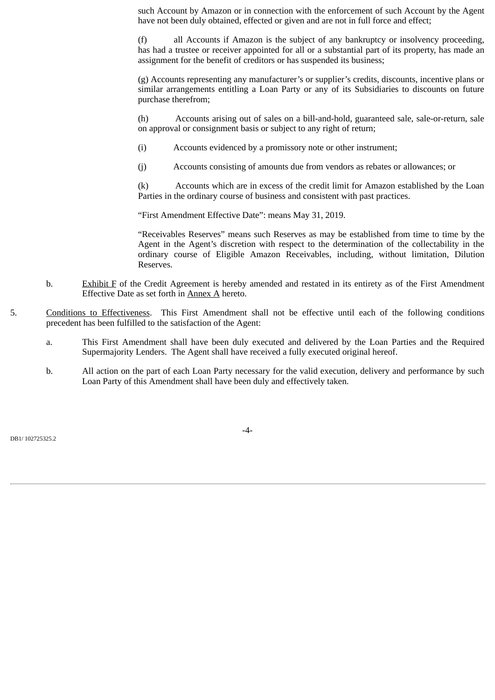such Account by Amazon or in connection with the enforcement of such Account by the Agent have not been duly obtained, effected or given and are not in full force and effect;

(f) all Accounts if Amazon is the subject of any bankruptcy or insolvency proceeding, has had a trustee or receiver appointed for all or a substantial part of its property, has made an assignment for the benefit of creditors or has suspended its business;

(g) Accounts representing any manufacturer's or supplier's credits, discounts, incentive plans or similar arrangements entitling a Loan Party or any of its Subsidiaries to discounts on future purchase therefrom;

(h) Accounts arising out of sales on a bill-and-hold, guaranteed sale, sale-or-return, sale on approval or consignment basis or subject to any right of return;

- (i) Accounts evidenced by a promissory note or other instrument;
- (j) Accounts consisting of amounts due from vendors as rebates or allowances; or

(k) Accounts which are in excess of the credit limit for Amazon established by the Loan Parties in the ordinary course of business and consistent with past practices.

"First Amendment Effective Date": means May 31, 2019.

"Receivables Reserves" means such Reserves as may be established from time to time by the Agent in the Agent's discretion with respect to the determination of the collectability in the ordinary course of Eligible Amazon Receivables, including, without limitation, Dilution Reserves.

- b. Exhibit F of the Credit Agreement is hereby amended and restated in its entirety as of the First Amendment Effective Date as set forth in Annex A hereto.
- 5. Conditions to Effectiveness. This First Amendment shall not be effective until each of the following conditions precedent has been fulfilled to the satisfaction of the Agent:
	- a. This First Amendment shall have been duly executed and delivered by the Loan Parties and the Required Supermajority Lenders. The Agent shall have received a fully executed original hereof.
	- b. All action on the part of each Loan Party necessary for the valid execution, delivery and performance by such Loan Party of this Amendment shall have been duly and effectively taken.

DB1/ 102725325.2

-4-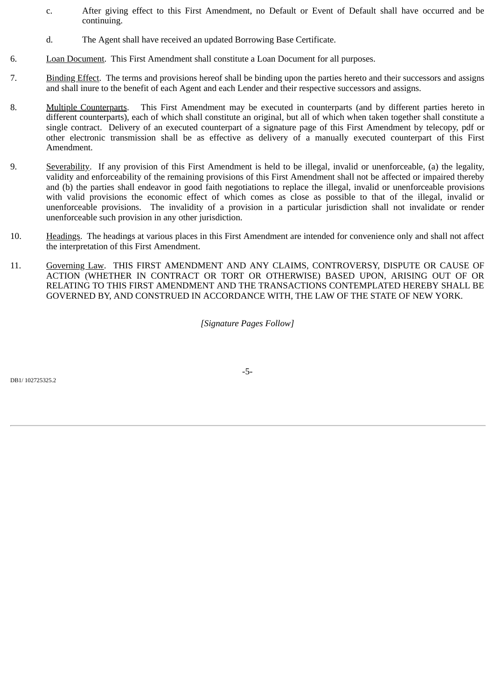- c. After giving effect to this First Amendment, no Default or Event of Default shall have occurred and be continuing.
- d. The Agent shall have received an updated Borrowing Base Certificate.
- 6. Loan Document. This First Amendment shall constitute a Loan Document for all purposes.
- 7. Binding Effect. The terms and provisions hereof shall be binding upon the parties hereto and their successors and assigns and shall inure to the benefit of each Agent and each Lender and their respective successors and assigns.
- 8. Multiple Counterparts. This First Amendment may be executed in counterparts (and by different parties hereto in different counterparts), each of which shall constitute an original, but all of which when taken together shall constitute a single contract. Delivery of an executed counterpart of a signature page of this First Amendment by telecopy, pdf or other electronic transmission shall be as effective as delivery of a manually executed counterpart of this First Amendment.
- 9. Severability. If any provision of this First Amendment is held to be illegal, invalid or unenforceable, (a) the legality, validity and enforceability of the remaining provisions of this First Amendment shall not be affected or impaired thereby and (b) the parties shall endeavor in good faith negotiations to replace the illegal, invalid or unenforceable provisions with valid provisions the economic effect of which comes as close as possible to that of the illegal, invalid or unenforceable provisions. The invalidity of a provision in a particular jurisdiction shall not invalidate or render unenforceable such provision in any other jurisdiction.
- 10. Headings. The headings at various places in this First Amendment are intended for convenience only and shall not affect the interpretation of this First Amendment.
- 11. Governing Law. THIS FIRST AMENDMENT AND ANY CLAIMS, CONTROVERSY, DISPUTE OR CAUSE OF ACTION (WHETHER IN CONTRACT OR TORT OR OTHERWISE) BASED UPON, ARISING OUT OF OR RELATING TO THIS FIRST AMENDMENT AND THE TRANSACTIONS CONTEMPLATED HEREBY SHALL BE GOVERNED BY, AND CONSTRUED IN ACCORDANCE WITH, THE LAW OF THE STATE OF NEW YORK.

*[Signature Pages Follow]*

DB1/ 102725325.2

-5-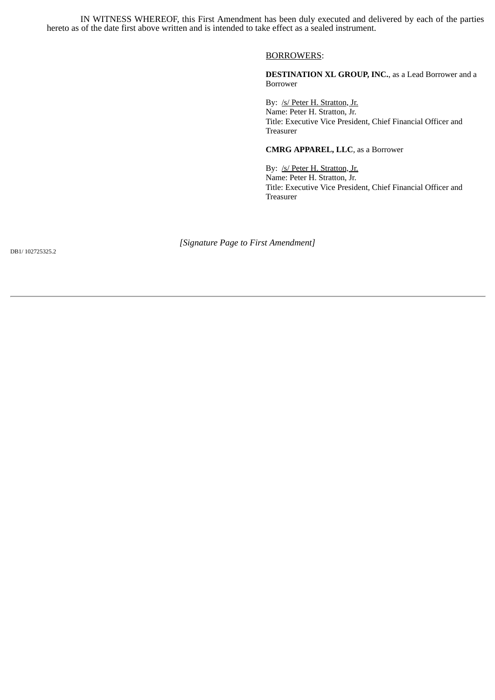IN WITNESS WHEREOF, this First Amendment has been duly executed and delivered by each of the parties hereto as of the date first above written and is intended to take effect as a sealed instrument.

### BORROWERS:

**DESTINATION XL GROUP, INC.**, as a Lead Borrower and a Borrower

By: /s/ Peter H. Stratton, Jr. Name: Peter H. Stratton, Jr. Title: Executive Vice President, Chief Financial Officer and Treasurer

## **CMRG APPAREL, LLC**, as a Borrower

By: /s/ Peter H. Stratton, Jr. Name: Peter H. Stratton, Jr. Title: Executive Vice President, Chief Financial Officer and Treasurer

*[Signature Page to First Amendment]*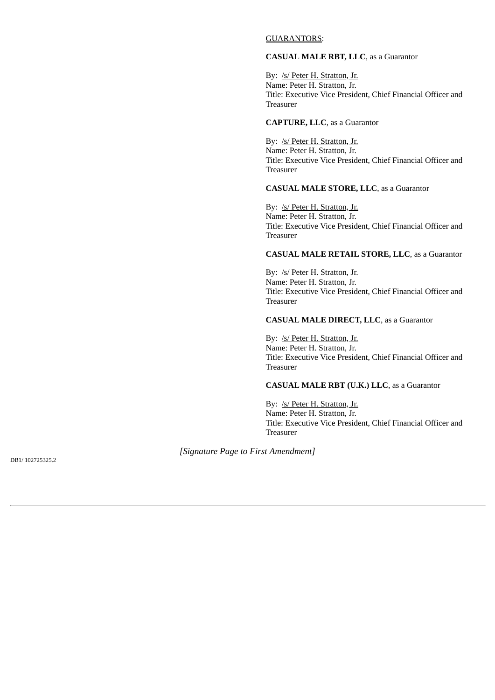## GUARANTORS:

# **CASUAL MALE RBT, LLC**, as a Guarantor

By: /s/ Peter H. Stratton, Jr. Name: Peter H. Stratton, Jr. Title: Executive Vice President, Chief Financial Officer and Treasurer

## **CAPTURE, LLC**, as a Guarantor

By: /s/ Peter H. Stratton, Jr. Name: Peter H. Stratton, Jr. Title: Executive Vice President, Chief Financial Officer and Treasurer

## **CASUAL MALE STORE, LLC**, as a Guarantor

By: /s/ Peter H. Stratton, Jr. Name: Peter H. Stratton, Jr. Title: Executive Vice President, Chief Financial Officer and Treasurer

## **CASUAL MALE RETAIL STORE, LLC**, as a Guarantor

By: /s/ Peter H. Stratton, Jr. Name: Peter H. Stratton, Jr. Title: Executive Vice President, Chief Financial Officer and Treasurer

### **CASUAL MALE DIRECT, LLC**, as a Guarantor

By: /s/ Peter H. Stratton, Jr. Name: Peter H. Stratton, Jr. Title: Executive Vice President, Chief Financial Officer and Treasurer

## **CASUAL MALE RBT (U.K.) LLC**, as a Guarantor

By: /s/ Peter H. Stratton, Jr. Name: Peter H. Stratton, Jr. Title: Executive Vice President, Chief Financial Officer and Treasurer

*[Signature Page to First Amendment]*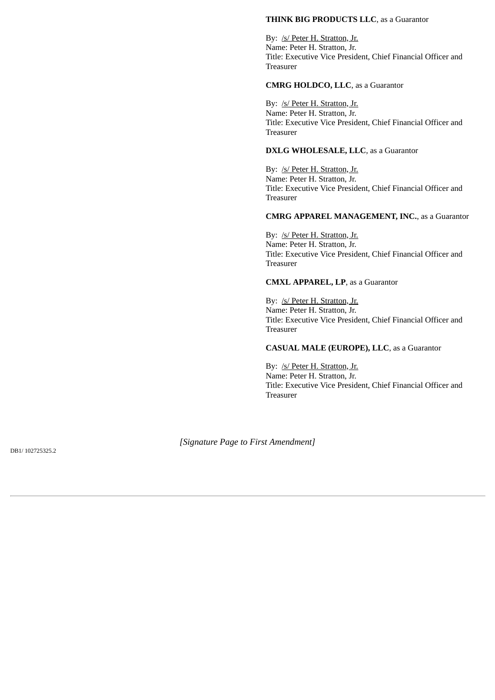## **THINK BIG PRODUCTS LLC**, as a Guarantor

By: /s/ Peter H. Stratton, Jr. Name: Peter H. Stratton, Jr. Title: Executive Vice President, Chief Financial Officer and Treasurer

## **CMRG HOLDCO, LLC**, as a Guarantor

By: /s/ Peter H. Stratton, Jr. Name: Peter H. Stratton, Jr. Title: Executive Vice President, Chief Financial Officer and Treasurer

## **DXLG WHOLESALE, LLC**, as a Guarantor

By: /s/ Peter H. Stratton, Jr. Name: Peter H. Stratton, Jr. Title: Executive Vice President, Chief Financial Officer and Treasurer

## **CMRG APPAREL MANAGEMENT, INC.**, as a Guarantor

By: /s/ Peter H. Stratton, Jr. Name: Peter H. Stratton, Jr. Title: Executive Vice President, Chief Financial Officer and Treasurer

## **CMXL APPAREL, LP**, as a Guarantor

By: /s/ Peter H. Stratton, Jr. Name: Peter H. Stratton, Jr. Title: Executive Vice President, Chief Financial Officer and Treasurer

**CASUAL MALE (EUROPE), LLC**, as a Guarantor

By: /s/ Peter H. Stratton, Jr. Name: Peter H. Stratton, Jr. Title: Executive Vice President, Chief Financial Officer and Treasurer

*[Signature Page to First Amendment]*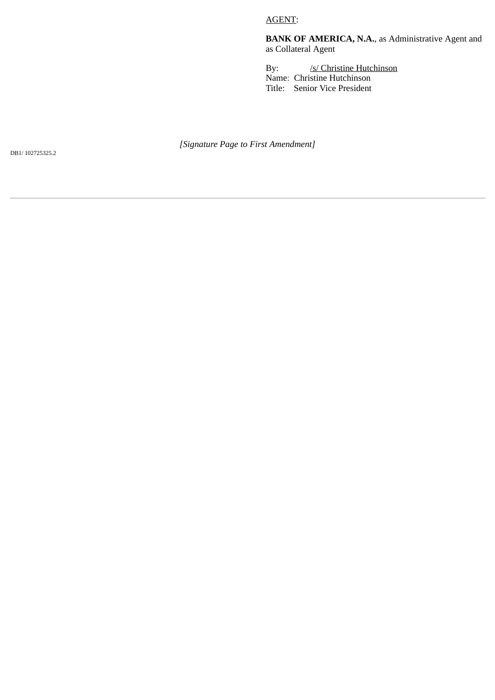# AGENT:

**BANK OF AMERICA, N.A.**, as Administrative Agent and as Collateral Agent

By: /s/ Christine Hutchinson Name: Christine Hutchinson Title: Senior Vice President

*[Signature Page to First Amendment]*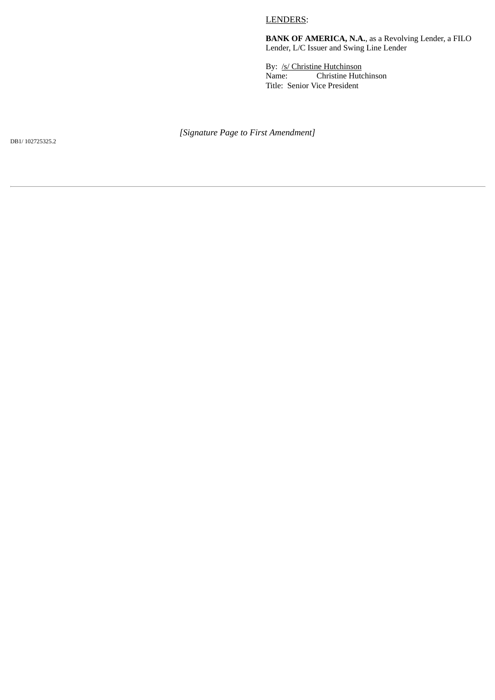# LENDERS:

**BANK OF AMERICA, N.A.**, as a Revolving Lender, a FILO Lender, L/C Issuer and Swing Line Lender

By: /s/ Christine Hutchinson<br>Name: Christine Hutc Christine Hutchinson Title: Senior Vice President

*[Signature Page to First Amendment]*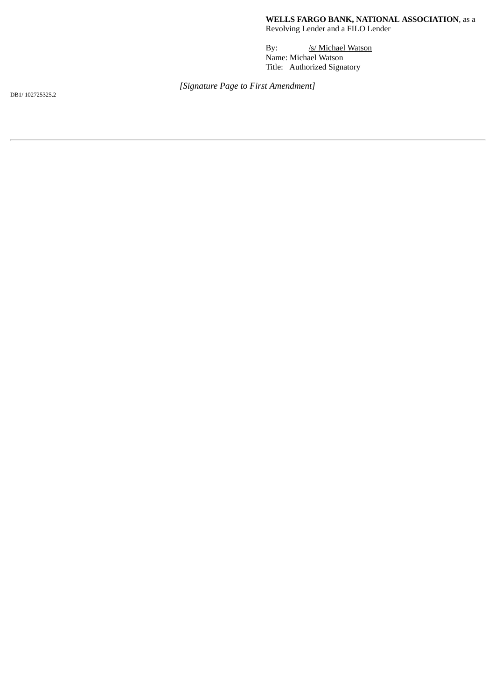**WELLS FARGO BANK, NATIONAL ASSOCIATION**, as a Revolving Lender and a FILO Lender

By: /s/ Michael Watson Name: Michael Watson Title: Authorized Signatory

*[Signature Page to First Amendment]*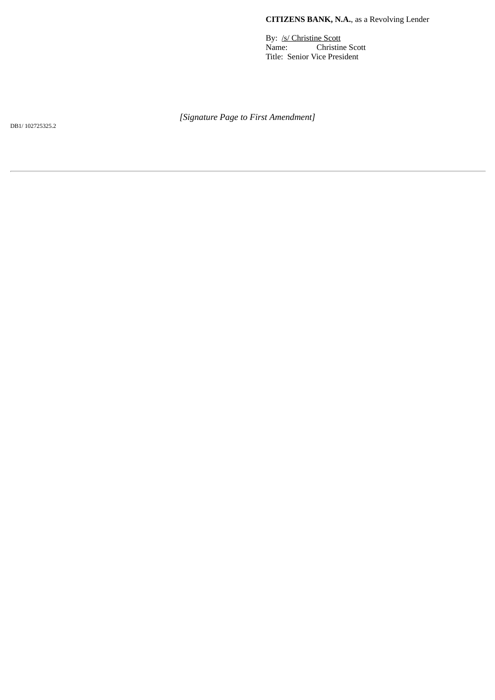# **CITIZENS BANK, N.A.**, as a Revolving Lender

By: /s/ Christine Scott Name: Christine Scott Title: Senior Vice President

*[Signature Page to First Amendment]*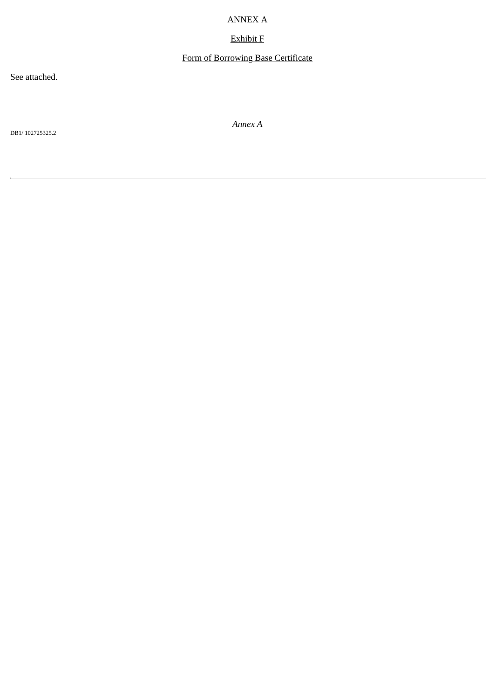# ANNEX A

# Exhibit F

# Form of Borrowing Base Certificate

See attached.

DB1/ 102725325.2

*Annex A*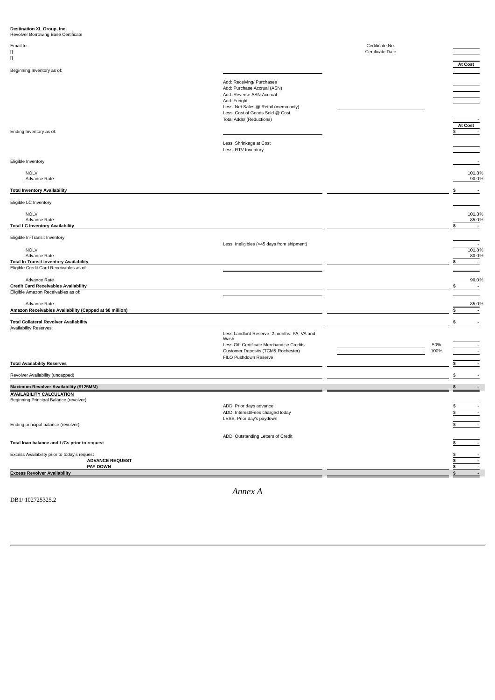| Destination XL Group, Inc.<br>Revolver Borrowing Base Certificate                                                        |                                                                                                                                                                                                             |                                     |                                           |
|--------------------------------------------------------------------------------------------------------------------------|-------------------------------------------------------------------------------------------------------------------------------------------------------------------------------------------------------------|-------------------------------------|-------------------------------------------|
| Email to:<br>П<br>П                                                                                                      |                                                                                                                                                                                                             | Certificate No.<br>Certificate Date |                                           |
| Beginning Inventory as of:                                                                                               |                                                                                                                                                                                                             |                                     | At Cost                                   |
|                                                                                                                          | Add: Receiving/ Purchases<br>Add: Purchase Accrual (ASN)<br>Add: Reverse ASN Accrual<br>Add: Freight<br>Less: Net Sales @ Retail (memo only)<br>Less: Cost of Goods Sold @ Cost<br>Total Adds/ (Reductions) |                                     | <b>At Cost</b>                            |
| Ending Inventory as of:                                                                                                  | Less: Shrinkage at Cost<br>Less: RTV Inventory                                                                                                                                                              |                                     |                                           |
| Eligible Inventory                                                                                                       |                                                                                                                                                                                                             |                                     |                                           |
| <b>NOLV</b><br>Advance Rate                                                                                              |                                                                                                                                                                                                             |                                     | 101.8%<br>90.0%                           |
| <b>Total Inventory Availability</b>                                                                                      |                                                                                                                                                                                                             |                                     |                                           |
| Eligible LC Inventory                                                                                                    |                                                                                                                                                                                                             |                                     |                                           |
| <b>NOLV</b><br>Advance Rate<br><b>Total LC Inventory Availability</b>                                                    |                                                                                                                                                                                                             |                                     | 101.8%<br>85.0%<br>$\blacksquare$<br>\$.  |
| Eligible In-Transit Inventory                                                                                            |                                                                                                                                                                                                             |                                     |                                           |
| <b>NOLV</b><br>Advance Rate<br><b>Total In-Transit Inventory Availability</b><br>Eligible Credit Card Receivables as of: | Less: Ineligibles (>45 days from shipment)                                                                                                                                                                  |                                     | 101.8%<br>80.0%<br>$\sim$                 |
| Advance Rate<br><b>Credit Card Receivables Availability</b>                                                              |                                                                                                                                                                                                             |                                     | 90.0%                                     |
| Eligible Amazon Receivables as of:<br>Advance Rate<br>Amazon Receivables Availability (Capped at \$8 million)            |                                                                                                                                                                                                             |                                     | 85.0%<br>s<br>$\overline{\phantom{a}}$    |
| <b>Total Collateral Revolver Availability</b>                                                                            |                                                                                                                                                                                                             |                                     | \$                                        |
| Availability Reserves:                                                                                                   | Less Landlord Reserve: 2 months: PA, VA and<br>Wash.<br>Less Gift Certificate Merchandise Credits<br>Customer Deposits (TCM& Rochester)                                                                     | 50%<br>100%                         |                                           |
| <b>Total Availability Reserves</b>                                                                                       | FILO Pushdown Reserve                                                                                                                                                                                       |                                     |                                           |
| Revolver Availability (uncapped)                                                                                         |                                                                                                                                                                                                             |                                     |                                           |
| Maximum Revolver Availability (\$125MM)                                                                                  |                                                                                                                                                                                                             |                                     | S                                         |
| <b>AVAILABILITY CALCULATION</b><br>Beginning Principal Balance (revolver)                                                |                                                                                                                                                                                                             |                                     |                                           |
| Ending principal balance (revolver)                                                                                      | ADD: Prior days advance<br>ADD: Interest/Fees charged today<br>LESS: Prior day's paydown                                                                                                                    |                                     |                                           |
|                                                                                                                          | ADD: Outstanding Letters of Credit                                                                                                                                                                          |                                     |                                           |
| Total loan balance and L/Cs prior to request                                                                             |                                                                                                                                                                                                             |                                     |                                           |
| Excess Availability prior to today's request<br><b>ADVANCE REQUEST</b><br>PAY DOWN                                       |                                                                                                                                                                                                             |                                     | \$<br>S<br>\$<br>$\overline{\phantom{a}}$ |
| <b>Excess Revolver Availability</b>                                                                                      |                                                                                                                                                                                                             |                                     | \$<br>$\overline{\phantom{a}}$            |

DB1/ 102725325.2

*Annex A*